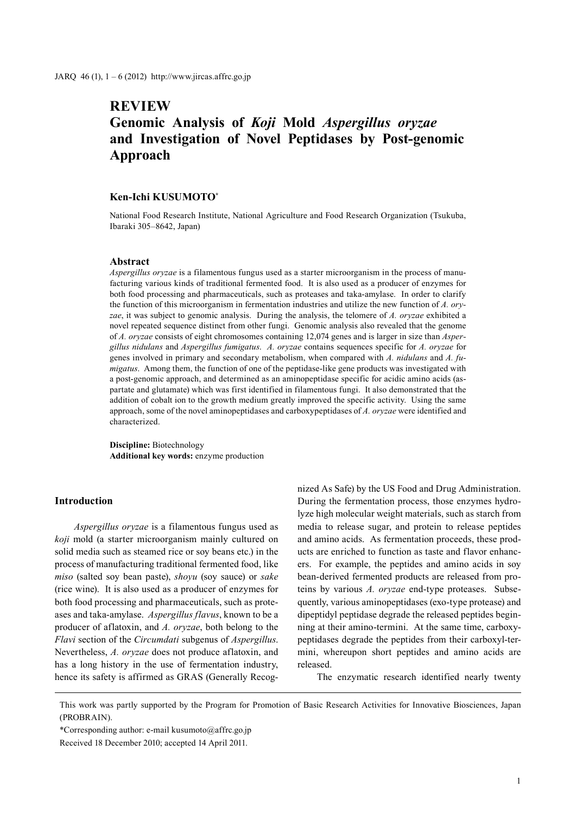# **REVIEW Genomic Analysis of** *Koji* **Mold** *Aspergillus oryzae* **and Investigation of Novel Peptidases by Post-genomic Approach**

## **Ken-Ichi KUSUMOTO\***

National Food Research Institute, National Agriculture and Food Research Organization (Tsukuba, Ibaraki 305–8642, Japan)

### **Abstract**

*Aspergillus oryzae* is a filamentous fungus used as a starter microorganism in the process of manufacturing various kinds of traditional fermented food. It is also used as a producer of enzymes for both food processing and pharmaceuticals, such as proteases and taka-amylase. In order to clarify the function of this microorganism in fermentation industries and utilize the new function of *A. oryzae*, it was subject to genomic analysis. During the analysis, the telomere of *A. oryzae* exhibited a novel repeated sequence distinct from other fungi. Genomic analysis also revealed that the genome of *A. oryzae* consists of eight chromosomes containing 12,074 genes and is larger in size than *Aspergillus nidulans* and *Aspergillus fumigatus*. *A. oryzae* contains sequences specific for *A. oryzae* for genes involved in primary and secondary metabolism, when compared with *A. nidulans* and *A. fumigatus*. Among them, the function of one of the peptidase-like gene products was investigated with a post-genomic approach, and determined as an aminopeptidase specific for acidic amino acids (aspartate and glutamate) which was first identified in filamentous fungi. It also demonstrated that the addition of cobalt ion to the growth medium greatly improved the specific activity. Using the same approach, some of the novel aminopeptidases and carboxypeptidases of *A. oryzae* were identified and characterized.

**Discipline:** Biotechnology **Additional key words:** enzyme production

### **Introduction**

*Aspergillus oryzae* is a filamentous fungus used as *koji* mold (a starter microorganism mainly cultured on solid media such as steamed rice or soy beans etc.) in the process of manufacturing traditional fermented food, like *miso* (salted soy bean paste), *shoyu* (soy sauce) or *sake* (rice wine). It is also used as a producer of enzymes for both food processing and pharmaceuticals, such as proteases and taka-amylase. *Aspergillus flavus*, known to be a producer of aflatoxin, and *A. oryzae*, both belong to the *Flavi* section of the *Circumdati* subgenus of *Aspergillus*. Nevertheless, *A. oryzae* does not produce aflatoxin, and has a long history in the use of fermentation industry, hence its safety is affirmed as GRAS (Generally Recognized As Safe) by the US Food and Drug Administration. During the fermentation process, those enzymes hydrolyze high molecular weight materials, such as starch from media to release sugar, and protein to release peptides and amino acids. As fermentation proceeds, these products are enriched to function as taste and flavor enhancers. For example, the peptides and amino acids in soy bean-derived fermented products are released from proteins by various *A. oryzae* end-type proteases. Subsequently, various aminopeptidases (exo-type protease) and dipeptidyl peptidase degrade the released peptides beginning at their amino-termini. At the same time, carboxypeptidases degrade the peptides from their carboxyl-termini, whereupon short peptides and amino acids are released.

The enzymatic research identified nearly twenty

\*Corresponding author: e-mail kusumoto@affrc.go.jp Received 18 December 2010; accepted 14 April 2011.

This work was partly supported by the Program for Promotion of Basic Research Activities for Innovative Biosciences, Japan (PROBRAIN).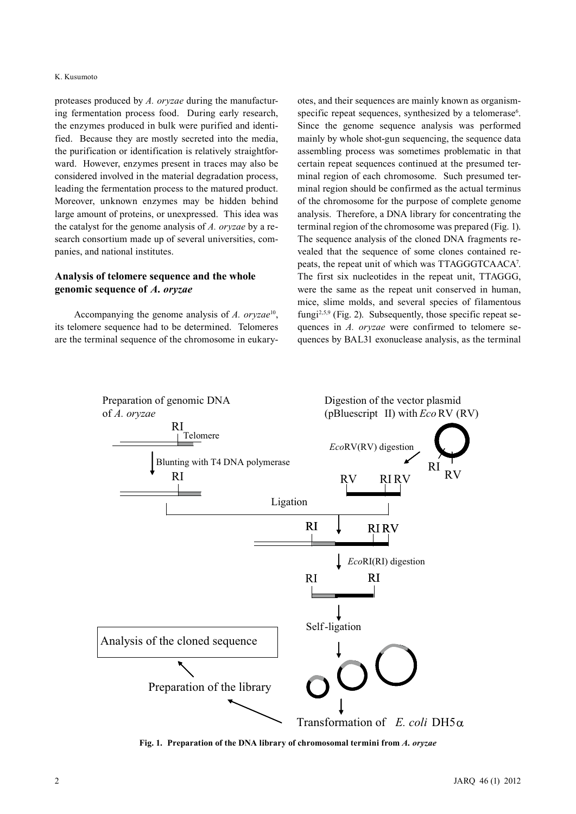#### K. Kusumoto

proteases produced by *A. oryzae* during the manufacturing fermentation process food. During early research, the enzymes produced in bulk were purified and identified. Because they are mostly secreted into the media, the purification or identification is relatively straightforward. However, enzymes present in traces may also be considered involved in the material degradation process, leading the fermentation process to the matured product. Moreover, unknown enzymes may be hidden behind large amount of proteins, or unexpressed. This idea was the catalyst for the genome analysis of *A. oryzae* by a research consortium made up of several universities, companies, and national institutes.

## **Analysis of telomere sequence and the whole genomic sequence of** *A. oryzae*

Accompanying the genome analysis of *A. oryzae*10, its telomere sequence had to be determined. Telomeres are the terminal sequence of the chromosome in eukaryotes, and their sequences are mainly known as organismspecific repeat sequences, synthesized by a telomerase<sup>6</sup>. Since the genome sequence analysis was performed mainly by whole shot-gun sequencing, the sequence data assembling process was sometimes problematic in that certain repeat sequences continued at the presumed terminal region of each chromosome. Such presumed terminal region should be confirmed as the actual terminus of the chromosome for the purpose of complete genome analysis. Therefore, a DNA library for concentrating the terminal region of the chromosome was prepared (Fig. 1). The sequence analysis of the cloned DNA fragments revealed that the sequence of some clones contained repeats, the repeat unit of which was TTAGGGTCAACA<sup>7</sup>. The first six nucleotides in the repeat unit, TTAGGG, were the same as the repeat unit conserved in human, mice, slime molds, and several species of filamentous fungi<sup>2,5,9</sup> (Fig. 2). Subsequently, those specific repeat sequences in *A. oryzae* were confirmed to telomere sequences by BAL31 exonuclease analysis, as the terminal



**Fig. 1. Preparation of the DNA library of chromosomal termini from** *A. oryzae*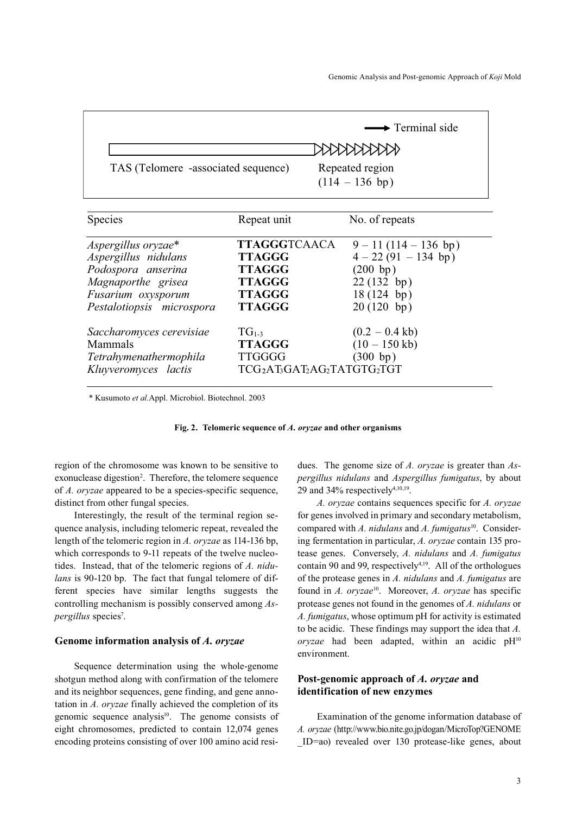|                                     | $\longrightarrow$ Terminal side     |
|-------------------------------------|-------------------------------------|
|                                     | RAAAAAAA                            |
| TAS (Telomere -associated sequence) | Repeated region<br>$(114 - 136$ bp) |

| Species                                                                                                                                    | Repeat unit                                                                                              | No. of repeats                                                                                                  |
|--------------------------------------------------------------------------------------------------------------------------------------------|----------------------------------------------------------------------------------------------------------|-----------------------------------------------------------------------------------------------------------------|
| Aspergillus oryzae*<br>Aspergillus nidulans<br>Podospora anserina<br>Magnaporthe grisea<br>Fusarium oxysporum<br>Pestalotiopsis microspora | <b>TTAGGGTCAACA</b><br><b>TTAGGG</b><br><b>TTAGGG</b><br><b>TTAGGG</b><br><b>TTAGGG</b><br><b>TTAGGG</b> | $9 - 11(114 - 136$ bp)<br>$4 - 22(91 - 134$ bp)<br>$(200 \text{ bp})$<br>22(132 bp)<br>18(124 bp)<br>20(120 bp) |
| Saccharomyces cerevisiae<br>Mammals<br>Tetrahymenathermophila<br>Kluyveromyces lactis                                                      | $TG_{1-3}$<br><b>TTAGGG</b><br><b>TTGGGG</b><br>TCG2AT3GAT2AG2TATGTG2TGT                                 | $(0.2 - 0.4$ kb)<br>$(10 - 150 \text{ kb})$<br>$(300 \text{ bp})$                                               |

\* Kusumoto *et al.*Appl. Microbiol. Biotechnol. 2003

**Fig. 2. Telomeric sequence of** *A. oryzae* **and other organisms**

region of the chromosome was known to be sensitive to exonuclease digestion<sup>2</sup>. Therefore, the telomere sequence of *A. oryzae* appeared to be a species-specific sequence, distinct from other fungal species.

Interestingly, the result of the terminal region sequence analysis, including telomeric repeat, revealed the length of the telomeric region in *A. oryzae* as 114-136 bp, which corresponds to 9-11 repeats of the twelve nucleotides. Instead, that of the telomeric regions of *A. nidulans* is 90-120 bp. The fact that fungal telomere of different species have similar lengths suggests the controlling mechanism is possibly conserved among *As*pergillus species<sup>7</sup>.

### **Genome information analysis of** *A. oryzae*

Sequence determination using the whole-genome shotgun method along with confirmation of the telomere and its neighbor sequences, gene finding, and gene annotation in *A. oryzae* finally achieved the completion of its genomic sequence analysis<sup>10</sup>. The genome consists of eight chromosomes, predicted to contain 12,074 genes encoding proteins consisting of over 100 amino acid residues. The genome size of *A. oryzae* is greater than *Aspergillus nidulans* and *Aspergillus fumigatus*, by about 29 and 34% respectively $4,10,19$ .

*A. oryzae* contains sequences specific for *A. oryzae* for genes involved in primary and secondary metabolism, compared with *A. nidulans* and *A. fumigatus*10. Considering fermentation in particular, *A. oryzae* contain 135 protease genes. Conversely, *A. nidulans* and *A. fumigatus* contain 90 and 99, respectively<sup> $4,19$ </sup>. All of the orthologues of the protease genes in *A. nidulans* and *A. fumigatus* are found in *A. oryzae*10. Moreover, *A. oryzae* has specific protease genes not found in the genomes of *A. nidulans* or *A. fumigatus*, whose optimum pH for activity is estimated to be acidic. These findings may support the idea that *A. oryzae* had been adapted, within an acidic pH10 environment.

# **Post-genomic approach of** *A. oryzae* **and identification of new enzymes**

Examination of the genome information database of *A. oryzae* (http://www.bio.nite.go.jp/dogan/MicroTop?GENOME \_ID=ao) revealed over 130 protease-like genes, about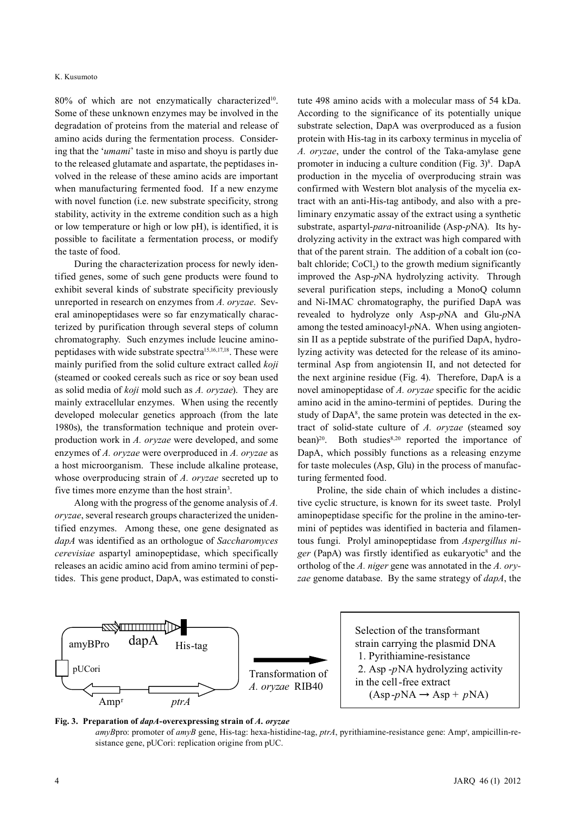#### K. Kusumoto

80% of which are not enzymatically characterized<sup>10</sup>. Some of these unknown enzymes may be involved in the degradation of proteins from the material and release of amino acids during the fermentation process. Considering that the '*umami*' taste in miso and shoyu is partly due to the released glutamate and aspartate, the peptidases involved in the release of these amino acids are important when manufacturing fermented food. If a new enzyme with novel function (i.e. new substrate specificity, strong stability, activity in the extreme condition such as a high or low temperature or high or low pH), is identified, it is possible to facilitate a fermentation process, or modify the taste of food.

During the characterization process for newly identified genes, some of such gene products were found to exhibit several kinds of substrate specificity previously unreported in research on enzymes from *A. oryzae*. Several aminopeptidases were so far enzymatically characterized by purification through several steps of column chromatography. Such enzymes include leucine aminopeptidases with wide substrate spectra15,16,17,18. These were mainly purified from the solid culture extract called *koji* (steamed or cooked cereals such as rice or soy bean used as solid media of *koji* mold such as *A. oryzae*). They are mainly extracellular enzymes. When using the recently developed molecular genetics approach (from the late 1980s), the transformation technique and protein overproduction work in *A. oryzae* were developed, and some enzymes of *A. oryzae* were overproduced in *A. oryzae* as a host microorganism. These include alkaline protease, whose overproducing strain of *A. oryzae* secreted up to five times more enzyme than the host strain<sup>3</sup>.

Along with the progress of the genome analysis of *A. oryzae*, several research groups characterized the unidentified enzymes. Among these, one gene designated as *dapA* was identified as an orthologue of *Saccharomyces cerevisiae* aspartyl aminopeptidase, which specifically releases an acidic amino acid from amino termini of peptides. This gene product, DapA, was estimated to constitute 498 amino acids with a molecular mass of 54 kDa. According to the significance of its potentially unique substrate selection, DapA was overproduced as a fusion protein with His-tag in its carboxy terminus in mycelia of *A. oryzae*, under the control of the Taka-amylase gene promoter in inducing a culture condition (Fig.  $3$ )<sup>8</sup>. DapA production in the mycelia of overproducing strain was confirmed with Western blot analysis of the mycelia extract with an anti-His-tag antibody, and also with a preliminary enzymatic assay of the extract using a synthetic substrate, aspartyl-*para*-nitroanilide (Asp-*p*NA). Its hydrolyzing activity in the extract was high compared with that of the parent strain. The addition of a cobalt ion (cobalt chloride;  $CoCl<sub>2</sub>$ ) to the growth medium significantly improved the Asp-*p*NA hydrolyzing activity. Through several purification steps, including a MonoQ column and Ni-IMAC chromatography, the purified DapA was revealed to hydrolyze only Asp-*p*NA and Glu-*p*NA among the tested aminoacyl-*p*NA. When using angiotensin II as a peptide substrate of the purified DapA, hydrolyzing activity was detected for the release of its aminoterminal Asp from angiotensin II, and not detected for the next arginine residue (Fig. 4). Therefore, DapA is a novel aminopeptidase of *A. oryzae* specific for the acidic amino acid in the amino-termini of peptides. During the study of DapA<sup>8</sup>, the same protein was detected in the extract of solid-state culture of *A. oryzae* (steamed soy bean)<sup>20</sup>. Both studies<sup>8,20</sup> reported the importance of DapA, which possibly functions as a releasing enzyme for taste molecules (Asp, Glu) in the process of manufacturing fermented food.

Proline, the side chain of which includes a distinctive cyclic structure, is known for its sweet taste. Prolyl aminopeptidase specific for the proline in the amino-termini of peptides was identified in bacteria and filamentous fungi. Prolyl aminopeptidase from *Aspergillus ni*ger (PapA) was firstly identified as eukaryotic<sup>8</sup> and the ortholog of the *A. niger* gene was annotated in the *A. oryzae* genome database. By the same strategy of *dapA*, the



Selection of the transformant strain carrying the plasmid DNA 1. Pyrithiamine-resistance 2. Asp -*p*NA hydrolyzing activity in the cell-free extract  $(Asp-pNA \rightarrow Asp + pNA)$ 

### **Fig. 3. Preparation of** *dapA***-overexpressing strain of** *A. oryzae amyB*pro: promoter of *amyB* gene, His-tag: hexa-histidine-tag, *ptrA*, pyrithiamine-resistance gene: Ampr , ampicillin-resistance gene, pUCori: replication origine from pUC.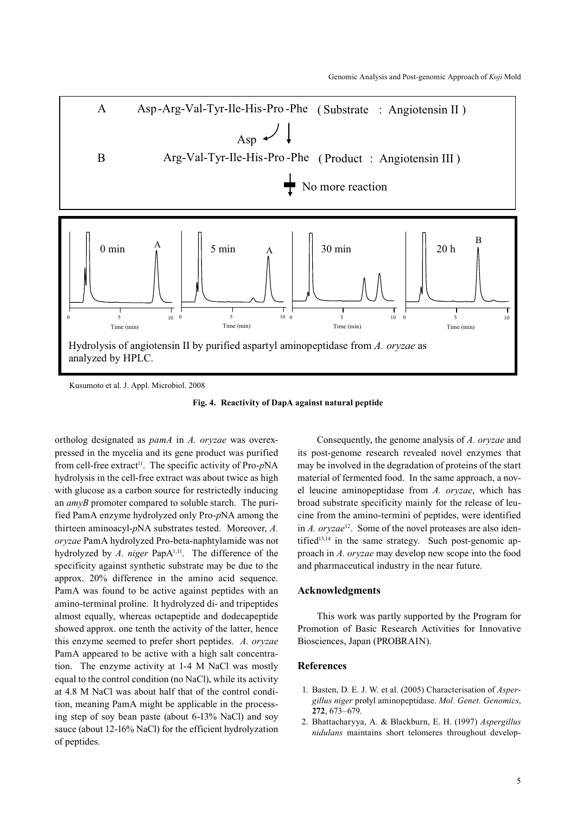

Kusumoto et al. J. Appl. Microbiol. 2008

**Fig. 4. Reactivity of DapA against natural peptide**

ortholog designated as *pamA* in *A. oryzae* was overexpressed in the mycelia and its gene product was purified from cell-free extract<sup>11</sup>. The specific activity of Pro-*p*NA hydrolysis in the cell-free extract was about twice as high with glucose as a carbon source for restrictedly inducing an *amyB* promoter compared to soluble starch. The purified PamA enzyme hydrolyzed only Pro-*p*NA among the thirteen aminoacyl-*p*NA substrates tested. Moreover, *A. oryzae* PamA hydrolyzed Pro-beta-naphtylamide was not hydrolyzed by *A. niger* PapA<sup>1,11</sup>. The difference of the specificity against synthetic substrate may be due to the approx. 20% difference in the amino acid sequence. PamA was found to be active against peptides with an amino-terminal proline. It hydrolyzed di- and tripeptides almost equally, whereas octapeptide and dodecapeptide showed approx. one tenth the activity of the latter, hence this enzyme seemed to prefer short peptides. *A. oryzae* PamA appeared to be active with a high salt concentration. The enzyme activity at 1-4 M NaCl was mostly equal to the control condition (no NaCl), while its activity at 4.8 M NaCl was about half that of the control condition, meaning PamA might be applicable in the processing step of soy bean paste (about 6-13% NaCl) and soy sauce (about 12-16% NaCl) for the efficient hydrolyzation of peptides.

Consequently, the genome analysis of *A. oryzae* and its post-genome research revealed novel enzymes that may be involved in the degradation of proteins of the start material of fermented food. In the same approach, a novel leucine aminopeptidase from *A. oryzae*, which has broad substrate specificity mainly for the release of leucine from the amino-termini of peptides, were identified in *A. oryzae*<sup>12</sup>. Some of the novel proteases are also identified $13,14$  in the same strategy. Such post-genomic approach in *A. oryzae* may develop new scope into the food and pharmaceutical industry in the near future.

#### **Acknowledgments**

This work was partly supported by the Program for Promotion of Basic Research Activities for Innovative Biosciences, Japan (PROBRAIN).

### **References**

- 1. Basten, D. E. J. W. et al. (2005) Characterisation of *Aspergillus niger* prolyl aminopeptidase. *Mol. Genet. Genomics*, **272**, 673–679.
- 2. Bhattacharyya, A. & Blackburn, E. H. (1997) *Aspergillus nidulans* maintains short telomeres throughout develop-